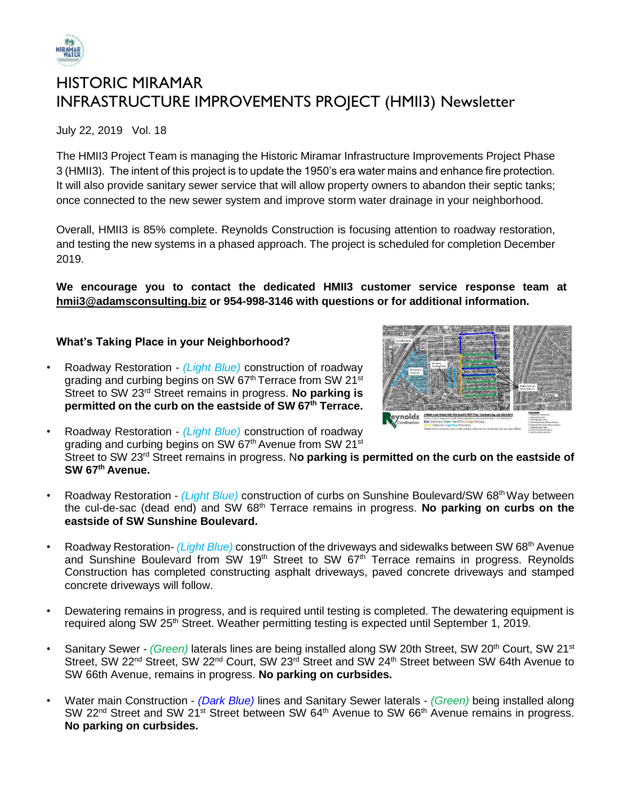

# HISTORIC MIRAMAR INFRASTRUCTURE IMPROVEMENTS PROJECT (HMII3) Newsletter

July 22, 2019 Vol. 18

The HMII3 Project Team is managing the Historic Miramar Infrastructure Improvements Project Phase 3 (HMII3). The intent of this project is to update the 1950's era water mains and enhance fire protection. It will also provide sanitary sewer service that will allow property owners to abandon their septic tanks; once connected to the new sewer system and improve storm water drainage in your neighborhood.

Overall, HMII3 is 85% complete. Reynolds Construction is focusing attention to roadway restoration, and testing the new systems in a phased approach. The project is scheduled for completion December 2019.

**We encourage you to contact the dedicated HMII3 customer service response team at [hmii3@adamsconsulting.biz](mailto:hmii3@adamsconsulting.biz) or 954-998-3146 with questions or for additional information.**

## **What's Taking Place in your Neighborhood?**



• Roadway Restoration - *(Light Blue)* construction of roadway grading and curbing begins on SW 67<sup>th</sup> Terrace from SW 21<sup>st</sup> Street to SW 23rd Street remains in progress. **No parking is permitted on the curb on the eastside of SW 67th Terrace.**

• Roadway Restoration - *(Light Blue)* construction of roadway grading and curbing begins on SW 67<sup>th</sup> Avenue from SW 21<sup>st</sup> Street to SW 23rd Street remains in progress. N**o parking is permitted on the curb on the eastside of SW 67th Avenue.**

- Roadway Restoration *(Light Blue)* construction of curbs on Sunshine Boulevard/SW 68<sup>th</sup> Way between the cul-de-sac (dead end) and SW 68th Terrace remains in progress. **No parking on curbs on the eastside of SW Sunshine Boulevard.**
- Roadway Restoration- *(Light Blue)* construction of the driveways and sidewalks between SW 68th Avenue and Sunshine Boulevard from SW 19<sup>th</sup> Street to SW  $67<sup>th</sup>$  Terrace remains in progress. Reynolds Construction has completed constructing asphalt driveways, paved concrete driveways and stamped concrete driveways will follow.
- Dewatering remains in progress, and is required until testing is completed. The dewatering equipment is required along SW 25<sup>th</sup> Street. Weather permitting testing is expected until September 1, 2019.
- Sanitary Sewer *- (Green)* laterals lines are being installed along SW 20th Street, SW 20th Court, SW 21st Street, SW 22<sup>nd</sup> Street, SW 22<sup>nd</sup> Court, SW 23<sup>rd</sup> Street and SW 24<sup>th</sup> Street between SW 64th Avenue to SW 66th Avenue, remains in progress. **No parking on curbsides.**
- Water main Construction *(Dark Blue)* lines and Sanitary Sewer laterals *- (Green)* being installed along SW 22<sup>nd</sup> Street and SW 21<sup>st</sup> Street between SW 64<sup>th</sup> Avenue to SW 66<sup>th</sup> Avenue remains in progress. **No parking on curbsides.**